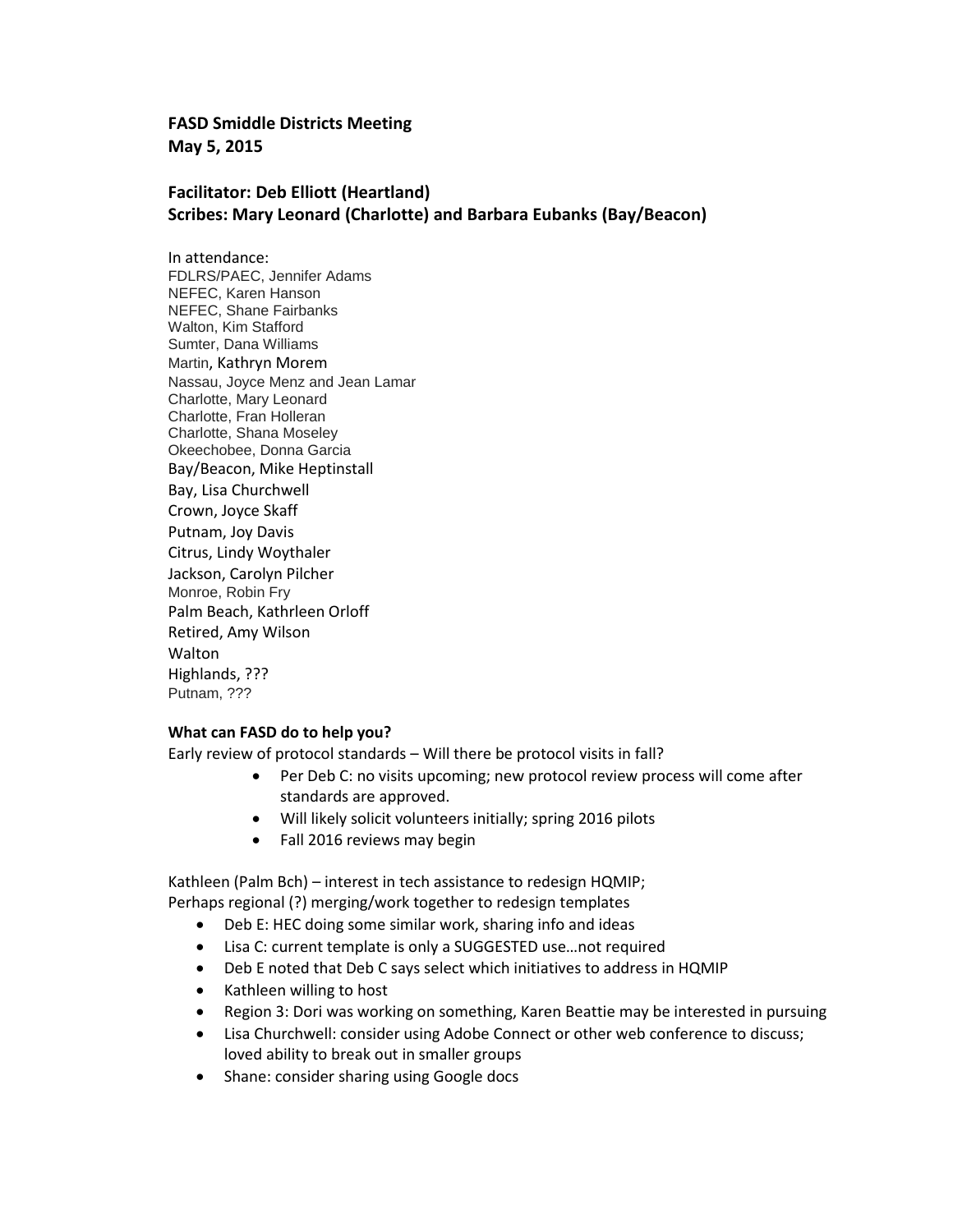## **FASD Smiddle Districts Meeting May 5, 2015**

# **Facilitator: Deb Elliott (Heartland) Scribes: Mary Leonard (Charlotte) and Barbara Eubanks (Bay/Beacon)**

In attendance: FDLRS/PAEC, Jennifer Adams NEFEC, Karen Hanson NEFEC, Shane Fairbanks Walton, Kim Stafford Sumter, Dana Williams Martin, Kathryn Morem Nassau, Joyce Menz and Jean Lamar Charlotte, Mary Leonard Charlotte, Fran Holleran Charlotte, Shana Moseley Okeechobee, Donna Garcia Bay/Beacon, Mike Heptinstall Bay, Lisa Churchwell Crown, Joyce Skaff Putnam, Joy Davis Citrus, Lindy Woythaler Jackson, Carolyn Pilcher Monroe, Robin Fry Palm Beach, Kathrleen Orloff Retired, Amy Wilson **Walton** Highlands, ??? Putnam, ???

#### **What can FASD do to help you?**

Early review of protocol standards – Will there be protocol visits in fall?

- Per Deb C: no visits upcoming; new protocol review process will come after standards are approved.
- Will likely solicit volunteers initially; spring 2016 pilots
- Fall 2016 reviews may begin

Kathleen (Palm Bch) – interest in tech assistance to redesign HQMIP; Perhaps regional (?) merging/work together to redesign templates

- Deb E: HEC doing some similar work, sharing info and ideas
- Lisa C: current template is only a SUGGESTED use…not required
- Deb E noted that Deb C says select which initiatives to address in HQMIP
- Kathleen willing to host
- Region 3: Dori was working on something, Karen Beattie may be interested in pursuing
- Lisa Churchwell: consider using Adobe Connect or other web conference to discuss; loved ability to break out in smaller groups
- Shane: consider sharing using Google docs